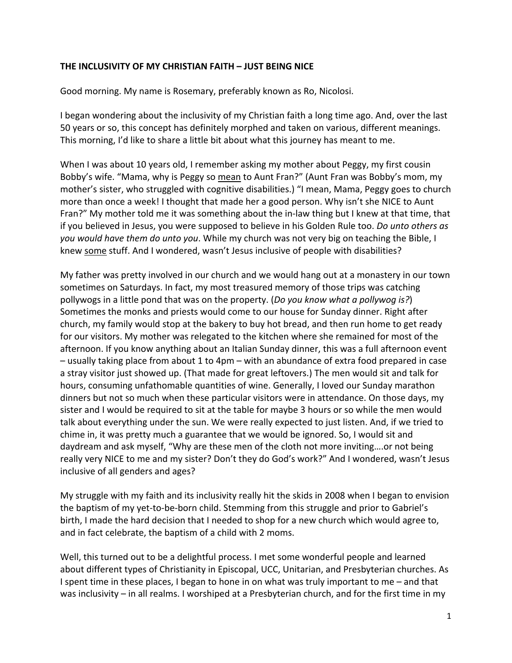## **THE INCLUSIVITY OF MY CHRISTIAN FAITH – JUST BEING NICE**

Good morning. My name is Rosemary, preferably known as Ro, Nicolosi.

I began wondering about the inclusivity of my Christian faith a long time ago. And, over the last 50 years or so, this concept has definitely morphed and taken on various, different meanings. This morning, I'd like to share a little bit about what this journey has meant to me.

When I was about 10 years old, I remember asking my mother about Peggy, my first cousin Bobby's wife. "Mama, why is Peggy so mean to Aunt Fran?" (Aunt Fran was Bobby's mom, my mother's sister, who struggled with cognitive disabilities.) "I mean, Mama, Peggy goes to church more than once a week! I thought that made her a good person. Why isn't she NICE to Aunt Fran?" My mother told me it was something about the in-law thing but I knew at that time, that if you believed in Jesus, you were supposed to believe in his Golden Rule too. *Do unto others as you would have them do unto you*. While my church was not very big on teaching the Bible, I knew some stuff. And I wondered, wasn't Jesus inclusive of people with disabilities?

My father was pretty involved in our church and we would hang out at a monastery in our town sometimes on Saturdays. In fact, my most treasured memory of those trips was catching pollywogs in a little pond that was on the property. (*Do you know what a pollywog is?*) Sometimes the monks and priests would come to our house for Sunday dinner. Right after church, my family would stop at the bakery to buy hot bread, and then run home to get ready for our visitors. My mother was relegated to the kitchen where she remained for most of the afternoon. If you know anything about an Italian Sunday dinner, this was a full afternoon event – usually taking place from about 1 to 4pm – with an abundance of extra food prepared in case a stray visitor just showed up. (That made for great leftovers.) The men would sit and talk for hours, consuming unfathomable quantities of wine. Generally, I loved our Sunday marathon dinners but not so much when these particular visitors were in attendance. On those days, my sister and I would be required to sit at the table for maybe 3 hours or so while the men would talk about everything under the sun. We were really expected to just listen. And, if we tried to chime in, it was pretty much a guarantee that we would be ignored. So, I would sit and daydream and ask myself, "Why are these men of the cloth not more inviting….or not being really very NICE to me and my sister? Don't they do God's work?" And I wondered, wasn't Jesus inclusive of all genders and ages?

My struggle with my faith and its inclusivity really hit the skids in 2008 when I began to envision the baptism of my yet-to-be-born child. Stemming from this struggle and prior to Gabriel's birth, I made the hard decision that I needed to shop for a new church which would agree to, and in fact celebrate, the baptism of a child with 2 moms.

Well, this turned out to be a delightful process. I met some wonderful people and learned about different types of Christianity in Episcopal, UCC, Unitarian, and Presbyterian churches. As I spent time in these places, I began to hone in on what was truly important to me – and that was inclusivity – in all realms. I worshiped at a Presbyterian church, and for the first time in my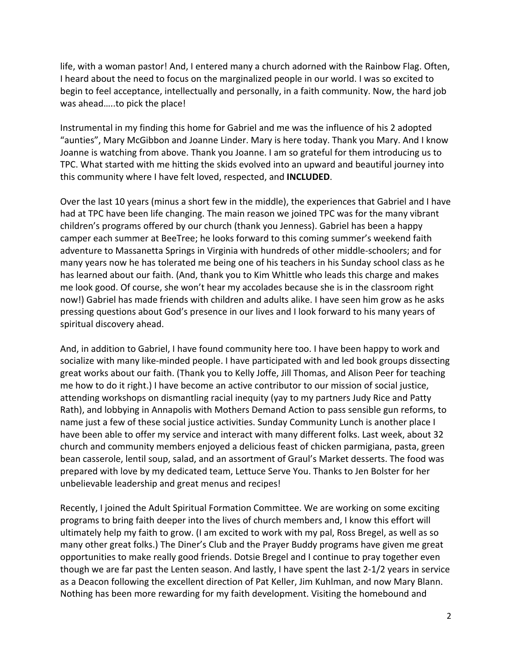life, with a woman pastor! And, I entered many a church adorned with the Rainbow Flag. Often, I heard about the need to focus on the marginalized people in our world. I was so excited to begin to feel acceptance, intellectually and personally, in a faith community. Now, the hard job was ahead…..to pick the place!

Instrumental in my finding this home for Gabriel and me was the influence of his 2 adopted "aunties", Mary McGibbon and Joanne Linder. Mary is here today. Thank you Mary. And I know Joanne is watching from above. Thank you Joanne. I am so grateful for them introducing us to TPC. What started with me hitting the skids evolved into an upward and beautiful journey into this community where I have felt loved, respected, and **INCLUDED**.

Over the last 10 years (minus a short few in the middle), the experiences that Gabriel and I have had at TPC have been life changing. The main reason we joined TPC was for the many vibrant children's programs offered by our church (thank you Jenness). Gabriel has been a happy camper each summer at BeeTree; he looks forward to this coming summer's weekend faith adventure to Massanetta Springs in Virginia with hundreds of other middle‐schoolers; and for many years now he has tolerated me being one of his teachers in his Sunday school class as he has learned about our faith. (And, thank you to Kim Whittle who leads this charge and makes me look good. Of course, she won't hear my accolades because she is in the classroom right now!) Gabriel has made friends with children and adults alike. I have seen him grow as he asks pressing questions about God's presence in our lives and I look forward to his many years of spiritual discovery ahead.

And, in addition to Gabriel, I have found community here too. I have been happy to work and socialize with many like-minded people. I have participated with and led book groups dissecting great works about our faith. (Thank you to Kelly Joffe, Jill Thomas, and Alison Peer for teaching me how to do it right.) I have become an active contributor to our mission of social justice, attending workshops on dismantling racial inequity (yay to my partners Judy Rice and Patty Rath), and lobbying in Annapolis with Mothers Demand Action to pass sensible gun reforms, to name just a few of these social justice activities. Sunday Community Lunch is another place I have been able to offer my service and interact with many different folks. Last week, about 32 church and community members enjoyed a delicious feast of chicken parmigiana, pasta, green bean casserole, lentil soup, salad, and an assortment of Graul's Market desserts. The food was prepared with love by my dedicated team, Lettuce Serve You. Thanks to Jen Bolster for her unbelievable leadership and great menus and recipes!

Recently, I joined the Adult Spiritual Formation Committee. We are working on some exciting programs to bring faith deeper into the lives of church members and, I know this effort will ultimately help my faith to grow. (I am excited to work with my pal, Ross Bregel, as well as so many other great folks.) The Diner's Club and the Prayer Buddy programs have given me great opportunities to make really good friends. Dotsie Bregel and I continue to pray together even though we are far past the Lenten season. And lastly, I have spent the last 2‐1/2 years in service as a Deacon following the excellent direction of Pat Keller, Jim Kuhlman, and now Mary Blann. Nothing has been more rewarding for my faith development. Visiting the homebound and